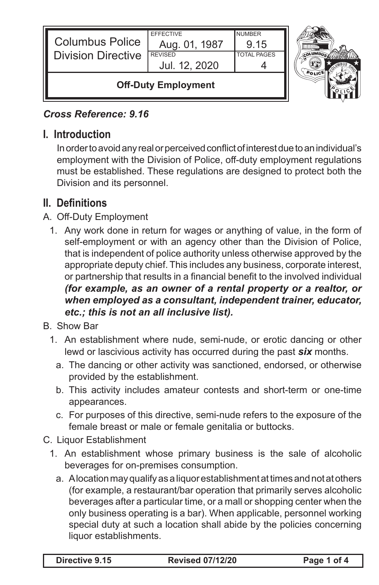| <b>Columbus Police</b><br><b>Division Directive</b> | <b>EFFECTIVE</b><br>Aug. 01, 1987<br><b>REVISED</b><br>Jul. 12, 2020 | <b>NUMBER</b><br>9.15<br><b>TOTAL PAGES</b> |  |
|-----------------------------------------------------|----------------------------------------------------------------------|---------------------------------------------|--|
| <b>Off-Duty Employment</b>                          |                                                                      |                                             |  |

### *Cross Reference: 9.16*

### **I. Introduction**

In order to avoid any real or perceived conflict of interest due to an individual's employment with the Division of Police, off-duty employment regulations must be established. These regulations are designed to protect both the Division and its personnel.

## **II. Definitions**

- A. Off-Duty Employment
	- 1. Any work done in return for wages or anything of value, in the form of self-employment or with an agency other than the Division of Police, that is independent of police authority unless otherwise approved by the appropriate deputy chief. This includes any business, corporate interest, or partnership that results in a financial benefit to the involved individual *(for example, as an owner of a rental property or a realtor, or when employed as a consultant, independent trainer, educator, etc.; this is not an all inclusive list).*
- B. Show Bar
	- 1. An establishment where nude, semi-nude, or erotic dancing or other lewd or lascivious activity has occurred during the past *six* months.
		- a. The dancing or other activity was sanctioned, endorsed, or otherwise provided by the establishment.
		- b. This activity includes amateur contests and short-term or one-time appearances.
		- c. For purposes of this directive, semi-nude refers to the exposure of the female breast or male or female genitalia or buttocks.
- C. Liquor Establishment
	- 1. An establishment whose primary business is the sale of alcoholic beverages for on-premises consumption.
		- a. Alocation may qualify as a liquor establishment at times and not at others (for example, a restaurant/bar operation that primarily serves alcoholic beverages after a particular time, or a mall or shopping center when the only business operating is a bar). When applicable, personnel working special duty at such a location shall abide by the policies concerning liquor establishments.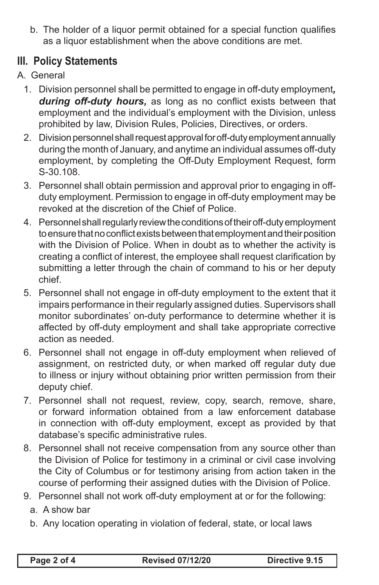b. The holder of a liquor permit obtained for a special function qualifies as a liquor establishment when the above conditions are met.

# **III. Policy Statements**

- A. General
	- 1. Division personnel shall be permitted to engage in off-duty employment*, during off-duty hours,* as long as no conflict exists between that employment and the individual's employment with the Division, unless prohibited by law, Division Rules, Policies, Directives, or orders.
	- 2. Division personnel shall request approval for off-duty employment annually during the month of January, and anytime an individual assumes off-duty employment, by completing the Off-Duty Employment Request, form S-30.108.
	- 3. Personnel shall obtain permission and approval prior to engaging in offduty employment. Permission to engage in off-duty employment may be revoked at the discretion of the Chief of Police.
	- 4. Personnel shall regularly review the conditions of their off-duty employment to ensure that no conflict exists between that employment and their position with the Division of Police. When in doubt as to whether the activity is creating a conflict of interest, the employee shall request clarification by submitting a letter through the chain of command to his or her deputy chief.
	- 5. Personnel shall not engage in off-duty employment to the extent that it impairs performance in their regularly assigned duties. Supervisors shall monitor subordinates' on-duty performance to determine whether it is affected by off-duty employment and shall take appropriate corrective action as needed.
	- 6. Personnel shall not engage in off-duty employment when relieved of assignment, on restricted duty, or when marked off regular duty due to illness or injury without obtaining prior written permission from their deputy chief.
	- 7. Personnel shall not request, review, copy, search, remove, share, or forward information obtained from a law enforcement database in connection with off-duty employment, except as provided by that database's specific administrative rules.
	- 8. Personnel shall not receive compensation from any source other than the Division of Police for testimony in a criminal or civil case involving the City of Columbus or for testimony arising from action taken in the course of performing their assigned duties with the Division of Police.
	- 9. Personnel shall not work off-duty employment at or for the following:
		- a. A show bar
		- b. Any location operating in violation of federal, state, or local laws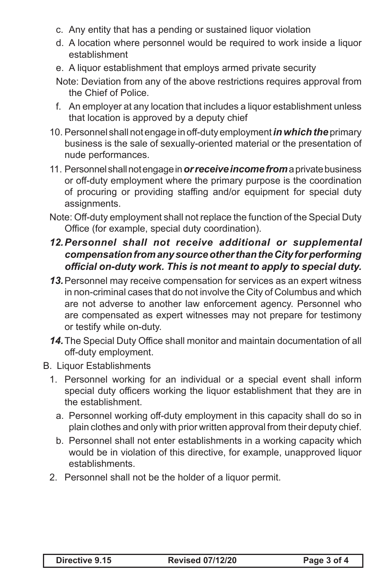- c. Any entity that has a pending or sustained liquor violation
- d. A location where personnel would be required to work inside a liquor establishment
- e. A liquor establishment that employs armed private security
- Note: Deviation from any of the above restrictions requires approval from the Chief of Police.
- f. An employer at any location that includes a liquor establishment unless that location is approved by a deputy chief
- 10. Personnel shall notengage inoff-duty employment *in which the* primary business is the sale of sexually-oriented material or the presentation of nude performances.
- 11. Personnel shall not engage in *or receive income from* a private business or off-duty employment where the primary purpose is the coordination of procuring or providing staffing and/or equipment for special duty assignments.
- Note: Off-duty employment shall not replace the function of the Special Duty Office (for example, special duty coordination).

## *12.Personnel shall not receive additional or supplemental compensation from any source other than the City for performing official on-duty work. This is not meant to apply to special duty.*

- 13. Personnel may receive compensation for services as an expert witness in non-criminal cases that do not involve the City of Columbus and which are not adverse to another law enforcement agency. Personnel who are compensated as expert witnesses may not prepare for testimony or testify while on-duty.
- 14. The Special Duty Office shall monitor and maintain documentation of all off-duty employment.
- B. Liquor Establishments
	- 1. Personnel working for an individual or a special event shall inform special duty officers working the liquor establishment that they are in the establishment.
		- a. Personnel working off-duty employment in this capacity shall do so in plain clothes and only with prior written approval from their deputy chief.
		- b. Personnel shall not enter establishments in a working capacity which would be in violation of this directive, for example, unapproved liquor establishments.
	- 2. Personnel shall not be the holder of a liquor permit.